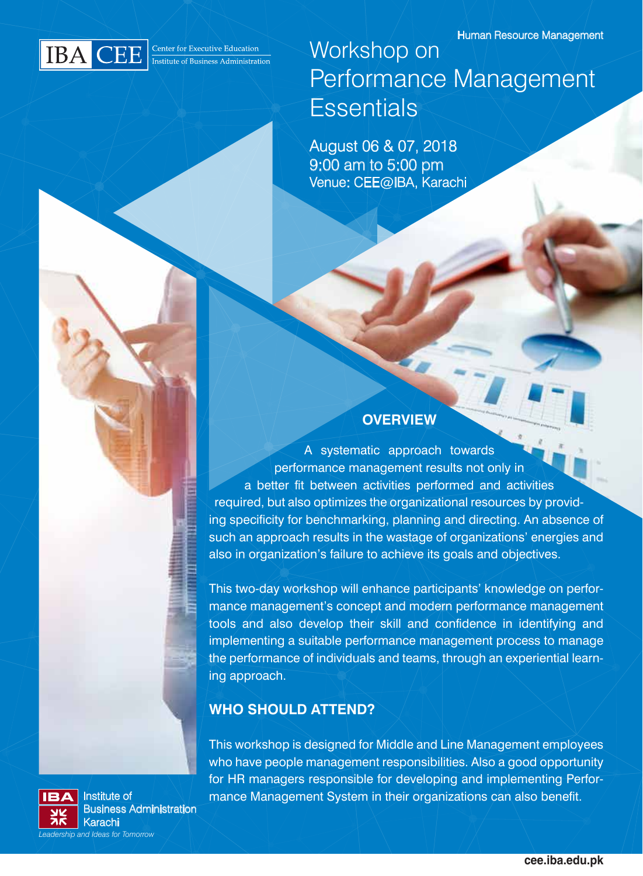

Workshop on Performance Management **Essentials** 

August 06 & 07, 2018 9:00 am to 5:00 pm Venue: CEE@IBA, Karachi



A systematic approach towards performance management results not only in a better fit between activities performed and activities required, but also optimizes the organizational resources by providing specificity for benchmarking, planning and directing. An absence of such an approach results in the wastage of organizations' energies and also in organization's failure to achieve its goals and objectives.

This two-day workshop will enhance participants' knowledge on performance management's concept and modern performance management tools and also develop their skill and confidence in identifying and implementing a suitable performance management process to manage the performance of individuals and teams, through an experiential learning approach.

#### **WHO SHOULD ATTEND?**

This workshop is designed for Middle and Line Management employees who have people management responsibilities. Also a good opportunity for HR managers responsible for developing and implementing Perfor-Institute of **Manual Management System in their organizations can also benefit.** 



Business Administration Karachi *Leadership and Ideas for Tomorrow*